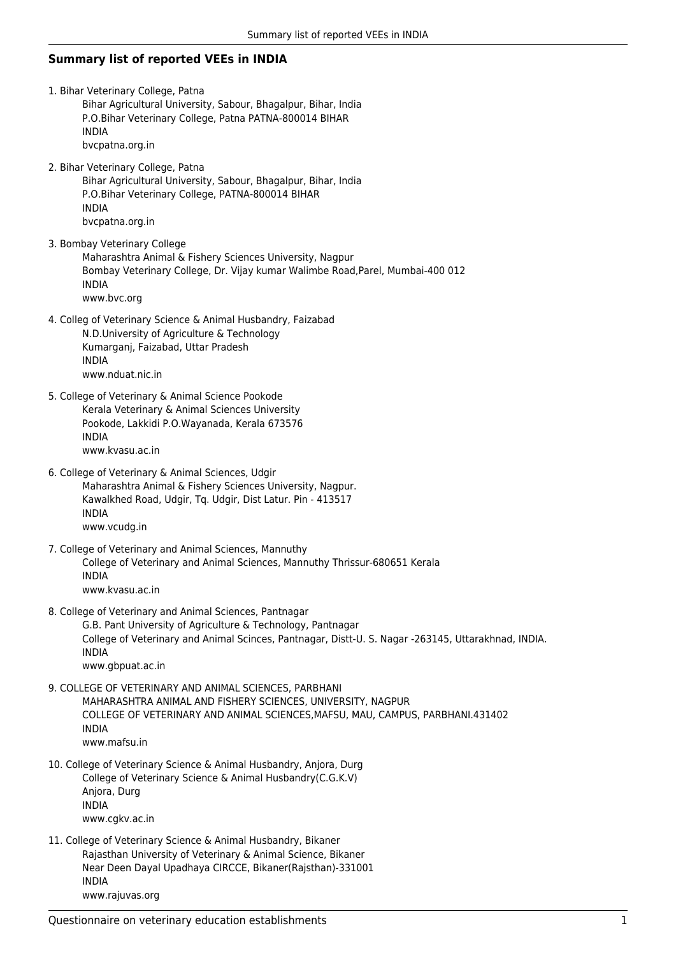## **Summary list of reported VEEs in INDIA**

- 1. Bihar Veterinary College, Patna Bihar Agricultural University, Sabour, Bhagalpur, Bihar, India P.O.Bihar Veterinary College, Patna PATNA-800014 BIHAR INDIA bvcpatna.org.in 2. Bihar Veterinary College, Patna Bihar Agricultural University, Sabour, Bhagalpur, Bihar, India P.O.Bihar Veterinary College, PATNA-800014 BIHAR
- INDIA bvcpatna.org.in 3. Bombay Veterinary College Maharashtra Animal & Fishery Sciences University, Nagpur Bombay Veterinary College, Dr. Vijay kumar Walimbe Road,Parel, Mumbai-400 012 INDIA

www.bvc.org

- 4. Colleg of Veterinary Science & Animal Husbandry, Faizabad N.D.University of Agriculture & Technology Kumarganj, Faizabad, Uttar Pradesh INDIA www.nduat.nic.in
- 5. College of Veterinary & Animal Science Pookode Kerala Veterinary & Animal Sciences University Pookode, Lakkidi P.O.Wayanada, Kerala 673576 INDIA www.kvasu.ac.in
- 6. College of Veterinary & Animal Sciences, Udgir Maharashtra Animal & Fishery Sciences University, Nagpur. Kawalkhed Road, Udgir, Tq. Udgir, Dist Latur. Pin - 413517 INDIA www.vcudg.in
- 7. College of Veterinary and Animal Sciences, Mannuthy College of Veterinary and Animal Sciences, Mannuthy Thrissur-680651 Kerala INDIA www.kvasu.ac.in
- 8. College of Veterinary and Animal Sciences, Pantnagar

G.B. Pant University of Agriculture & Technology, Pantnagar College of Veterinary and Animal Scinces, Pantnagar, Distt-U. S. Nagar -263145, Uttarakhnad, INDIA. INDIA www.gbpuat.ac.in

- 9. COLLEGE OF VETERINARY AND ANIMAL SCIENCES, PARBHANI MAHARASHTRA ANIMAL AND FISHERY SCIENCES, UNIVERSITY, NAGPUR COLLEGE OF VETERINARY AND ANIMAL SCIENCES,MAFSU, MAU, CAMPUS, PARBHANI.431402 INDIA www.mafsu.in
- 10. College of Veterinary Science & Animal Husbandry, Anjora, Durg College of Veterinary Science & Animal Husbandry(C.G.K.V) Anjora, Durg INDIA www.cgkv.ac.in
- 11. College of Veterinary Science & Animal Husbandry, Bikaner Rajasthan University of Veterinary & Animal Science, Bikaner Near Deen Dayal Upadhaya CIRCCE, Bikaner(Rajsthan)-331001 INDIA www.rajuvas.org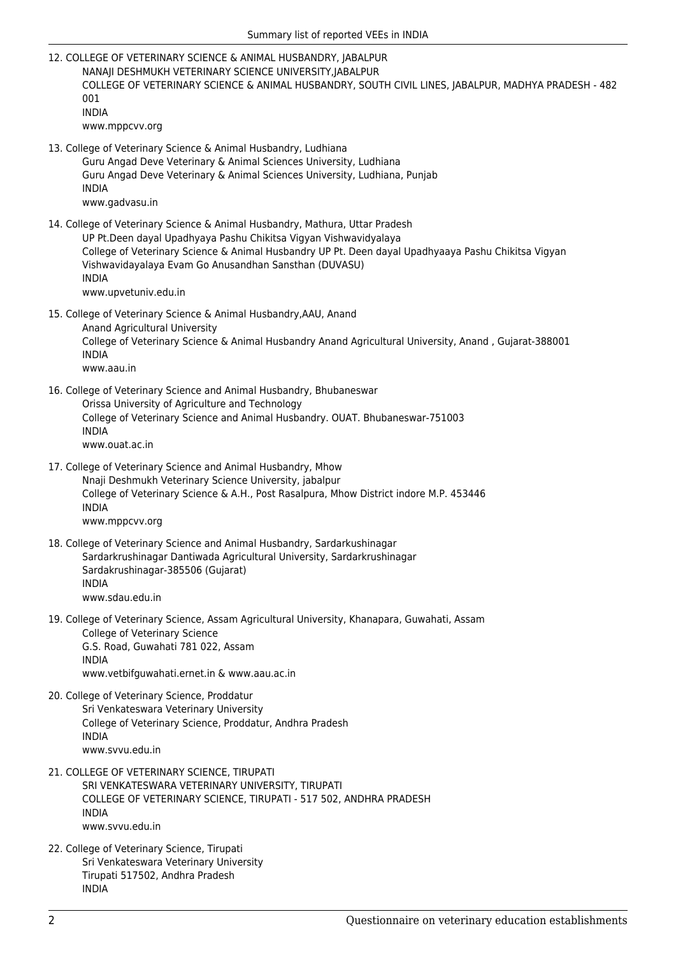- Summary list of reported VEEs in INDIA 12. COLLEGE OF VETERINARY SCIENCE & ANIMAL HUSBANDRY, JABALPUR NANAJI DESHMUKH VETERINARY SCIENCE UNIVERSITY,JABALPUR COLLEGE OF VETERINARY SCIENCE & ANIMAL HUSBANDRY, SOUTH CIVIL LINES, JABALPUR, MADHYA PRADESH - 482 001 INDIA www.mppcvv.org 13. College of Veterinary Science & Animal Husbandry, Ludhiana Guru Angad Deve Veterinary & Animal Sciences University, Ludhiana Guru Angad Deve Veterinary & Animal Sciences University, Ludhiana, Punjab INDIA www.gadvasu.in 14. College of Veterinary Science & Animal Husbandry, Mathura, Uttar Pradesh UP Pt.Deen dayal Upadhyaya Pashu Chikitsa Vigyan Vishwavidyalaya College of Veterinary Science & Animal Husbandry UP Pt. Deen dayal Upadhyaaya Pashu Chikitsa Vigyan Vishwavidayalaya Evam Go Anusandhan Sansthan (DUVASU) INDIA www.upvetuniv.edu.in 15. College of Veterinary Science & Animal Husbandry,AAU, Anand Anand Agricultural University College of Veterinary Science & Animal Husbandry Anand Agricultural University, Anand , Gujarat-388001 INDIA www.aau.in 16. College of Veterinary Science and Animal Husbandry, Bhubaneswar Orissa University of Agriculture and Technology College of Veterinary Science and Animal Husbandry. OUAT. Bhubaneswar-751003 INDIA www.ouat.ac.in 17. College of Veterinary Science and Animal Husbandry, Mhow Nnaji Deshmukh Veterinary Science University, jabalpur College of Veterinary Science & A.H., Post Rasalpura, Mhow District indore M.P. 453446 INDIA www.mppcvv.org 18. College of Veterinary Science and Animal Husbandry, Sardarkushinagar Sardarkrushinagar Dantiwada Agricultural University, Sardarkrushinagar Sardakrushinagar-385506 (Gujarat) INDIA www.sdau.edu.in 19. College of Veterinary Science, Assam Agricultural University, Khanapara, Guwahati, Assam College of Veterinary Science G.S. Road, Guwahati 781 022, Assam INDIA www.vetbifguwahati.ernet.in & www.aau.ac.in 20. College of Veterinary Science, Proddatur Sri Venkateswara Veterinary University College of Veterinary Science, Proddatur, Andhra Pradesh INDIA www.svvu.edu.in 21. COLLEGE OF VETERINARY SCIENCE, TIRUPATI
- SRI VENKATESWARA VETERINARY UNIVERSITY, TIRUPATI COLLEGE OF VETERINARY SCIENCE, TIRUPATI - 517 502, ANDHRA PRADESH INDIA www.svvu.edu.in
- 22. College of Veterinary Science, Tirupati Sri Venkateswara Veterinary University Tirupati 517502, Andhra Pradesh INDIA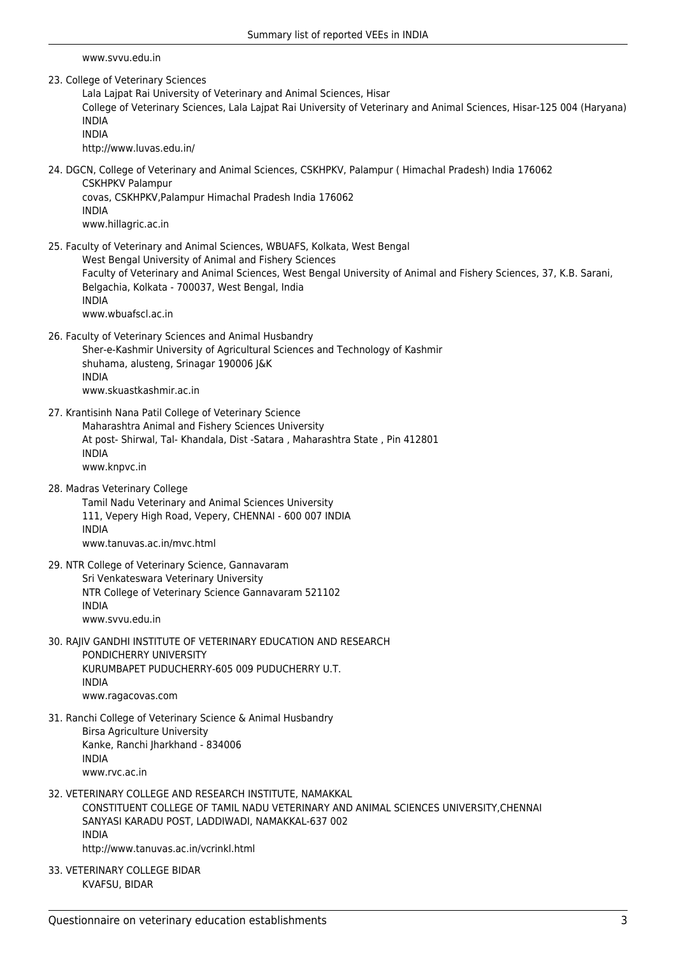www.svvu.edu.in

23. College of Veterinary Sciences

Lala Lajpat Rai University of Veterinary and Animal Sciences, Hisar College of Veterinary Sciences, Lala Lajpat Rai University of Veterinary and Animal Sciences, Hisar-125 004 (Haryana) INDIA INDIA

http://www.luvas.edu.in/

24. DGCN, College of Veterinary and Animal Sciences, CSKHPKV, Palampur ( Himachal Pradesh) India 176062 CSKHPKV Palampur covas, CSKHPKV,Palampur Himachal Pradesh India 176062

INDIA www.hillagric.ac.in

25. Faculty of Veterinary and Animal Sciences, WBUAFS, Kolkata, West Bengal West Bengal University of Animal and Fishery Sciences

Faculty of Veterinary and Animal Sciences, West Bengal University of Animal and Fishery Sciences, 37, K.B. Sarani, Belgachia, Kolkata - 700037, West Bengal, India INDIA www.wbuafscl.ac.in

26. Faculty of Veterinary Sciences and Animal Husbandry Sher-e-Kashmir University of Agricultural Sciences and Technology of Kashmir shuhama, alusteng, Srinagar 190006 J&K INDIA www.skuastkashmir.ac.in

- 27. Krantisinh Nana Patil College of Veterinary Science Maharashtra Animal and Fishery Sciences University At post- Shirwal, Tal- Khandala, Dist -Satara , Maharashtra State , Pin 412801 INDIA www.knpvc.in
- 28. Madras Veterinary College

Tamil Nadu Veterinary and Animal Sciences University 111, Vepery High Road, Vepery, CHENNAI - 600 007 INDIA INDIA www.tanuvas.ac.in/myc.html

- 29. NTR College of Veterinary Science, Gannavaram Sri Venkateswara Veterinary University NTR College of Veterinary Science Gannavaram 521102 INDIA www.svvu.edu.in
- 30. RAJIV GANDHI INSTITUTE OF VETERINARY EDUCATION AND RESEARCH PONDICHERRY UNIVERSITY KURUMBAPET PUDUCHERRY-605 009 PUDUCHERRY U.T. INDIA www.ragacovas.com
- 31. Ranchi College of Veterinary Science & Animal Husbandry Birsa Agriculture University Kanke, Ranchi Jharkhand - 834006 INDIA www.rvc.ac.in
- 32. VETERINARY COLLEGE AND RESEARCH INSTITUTE, NAMAKKAL CONSTITUENT COLLEGE OF TAMIL NADU VETERINARY AND ANIMAL SCIENCES UNIVERSITY,CHENNAI SANYASI KARADU POST, LADDIWADI, NAMAKKAL-637 002 INDIA http://www.tanuvas.ac.in/vcrinkl.html
- 33. VETERINARY COLLEGE BIDAR KVAFSU, BIDAR